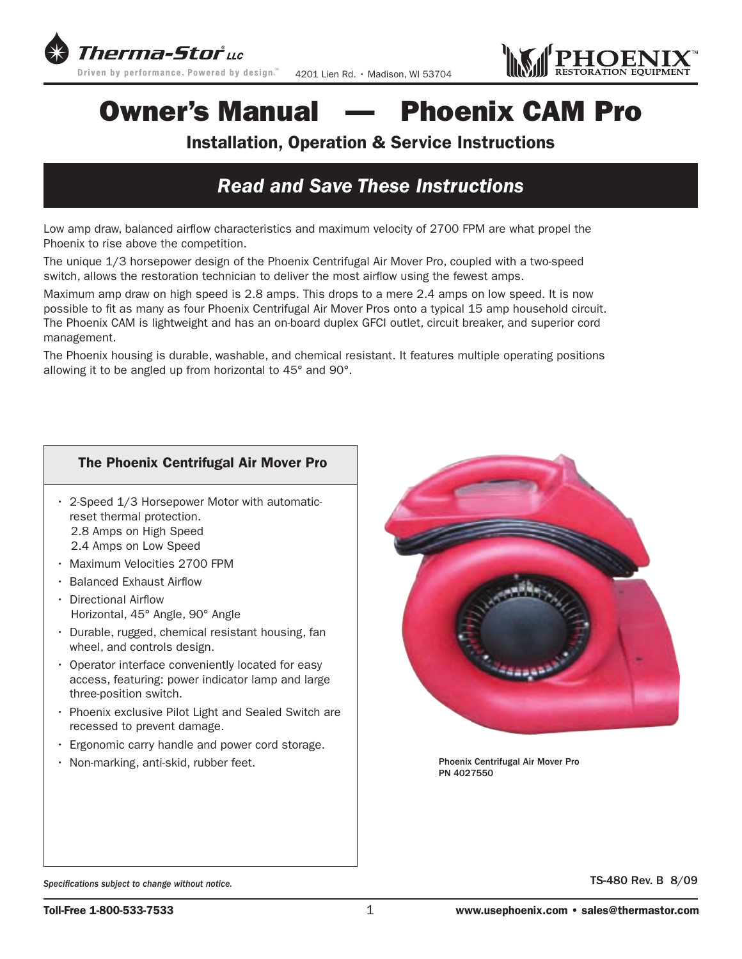



# Owner's Manual — Phoenix CAM Pro

## Installation, Operation & Service Instructions

## *Read and Save These Instructions*

Low amp draw, balanced airflow characteristics and maximum velocity of 2700 FPM are what propel the Phoenix to rise above the competition.

The unique 1/3 horsepower design of the Phoenix Centrifugal Air Mover Pro, coupled with a two-speed switch, allows the restoration technician to deliver the most airflow using the fewest amps.

Maximum amp draw on high speed is 2.8 amps. This drops to a mere 2.4 amps on low speed. It is now possible to fit as many as four Phoenix Centrifugal Air Mover Pros onto a typical 15 amp household circuit. The Phoenix CAM is lightweight and has an on-board duplex GFCI outlet, circuit breaker, and superior cord management.

The Phoenix housing is durable, washable, and chemical resistant. It features multiple operating positions allowing it to be angled up from horizontal to 45° and 90°.

### The Phoenix Centrifugal Air Mover Pro

- $\cdot$  2-Speed 1/3 Horsepower Motor with automaticreset thermal protection. 2.8 Amps on High Speed
	- 2.4 Amps on Low Speed
- Maximum Velocities 2700 FPM
- • Balanced Exhaust Airflow
- • Directional Airflow Horizontal, 45° Angle, 90° Angle
- Durable, rugged, chemical resistant housing, fan wheel, and controls design.
- Operator interface conveniently located for easy access, featuring: power indicator lamp and large three-position switch.
- Phoenix exclusive Pilot Light and Sealed Switch are recessed to prevent damage.
- Ergonomic carry handle and power cord storage.
- Non-marking, anti-skid, rubber feet.



Phoenix Centrifugal Air Mover Pro PN 4027550

Specifications subject to change without notice. **Subseteral contract of the set of the S** and S and S and S and S and S and S and S and S and S and S and S and S and S and S and S and S and S and S and S and S and S and S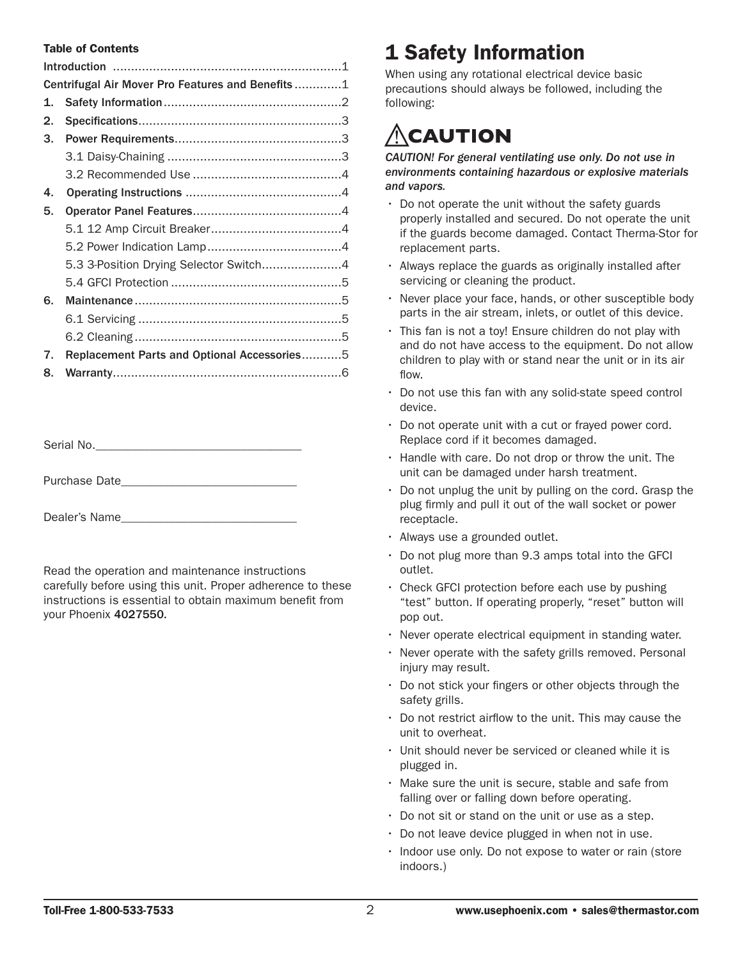#### Table of Contents

| Centrifugal Air Mover Pro Features and Benefits1 |                                             |  |  |
|--------------------------------------------------|---------------------------------------------|--|--|
| 1.                                               |                                             |  |  |
| 2.                                               |                                             |  |  |
| З.                                               |                                             |  |  |
|                                                  |                                             |  |  |
|                                                  |                                             |  |  |
| 4.                                               |                                             |  |  |
| 5.                                               |                                             |  |  |
|                                                  |                                             |  |  |
|                                                  |                                             |  |  |
|                                                  | 5.3 3-Position Drying Selector Switch4      |  |  |
|                                                  |                                             |  |  |
| 6.                                               |                                             |  |  |
|                                                  |                                             |  |  |
|                                                  |                                             |  |  |
| 7.                                               | Replacement Parts and Optional Accessories5 |  |  |
| 8.                                               |                                             |  |  |

Purchase Date

Dealer's Name

Read the operation and maintenance instructions carefully before using this unit. Proper adherence to these instructions is essential to obtain maximum benefit from your Phoenix 4027550.

## 1 Safety Information

When using any rotational electrical device basic precautions should always be followed, including the following:

# **CAUTION**

*CAUTION! For general ventilating use only. Do not use in environments containing hazardous or explosive materials and vapors.*

- $\cdot$  Do not operate the unit without the safety guards properly installed and secured. Do not operate the unit if the guards become damaged. Contact Therma-Stor for replacement parts.
- Always replace the guards as originally installed after servicing or cleaning the product.
- Never place your face, hands, or other susceptible body parts in the air stream, inlets, or outlet of this device.
- $\cdot$  This fan is not a toy! Ensure children do not play with and do not have access to the equipment. Do not allow children to play with or stand near the unit or in its air flow.
- Do not use this fan with any solid-state speed control device.
- $\cdot$  Do not operate unit with a cut or frayed power cord. Replace cord if it becomes damaged.
- $\cdot$  Handle with care. Do not drop or throw the unit. The unit can be damaged under harsh treatment.
- $\cdot$  Do not unplug the unit by pulling on the cord. Grasp the plug firmly and pull it out of the wall socket or power receptacle.
- Always use a grounded outlet.
- $\cdot$  Do not plug more than 9.3 amps total into the GFCI outlet.
- $\cdot$  Check GFCI protection before each use by pushing "test" button. If operating properly, "reset" button will pop out.
- Never operate electrical equipment in standing water.
- Never operate with the safety grills removed. Personal injury may result.
- Do not stick your fingers or other objects through the safety grills.
- $\cdot$  Do not restrict airflow to the unit. This may cause the unit to overheat.
- Unit should never be serviced or cleaned while it is plugged in.
- Make sure the unit is secure, stable and safe from falling over or falling down before operating.
- $\cdot$  Do not sit or stand on the unit or use as a step.
- $\cdot$  Do not leave device plugged in when not in use.
- Indoor use only. Do not expose to water or rain (store indoors.)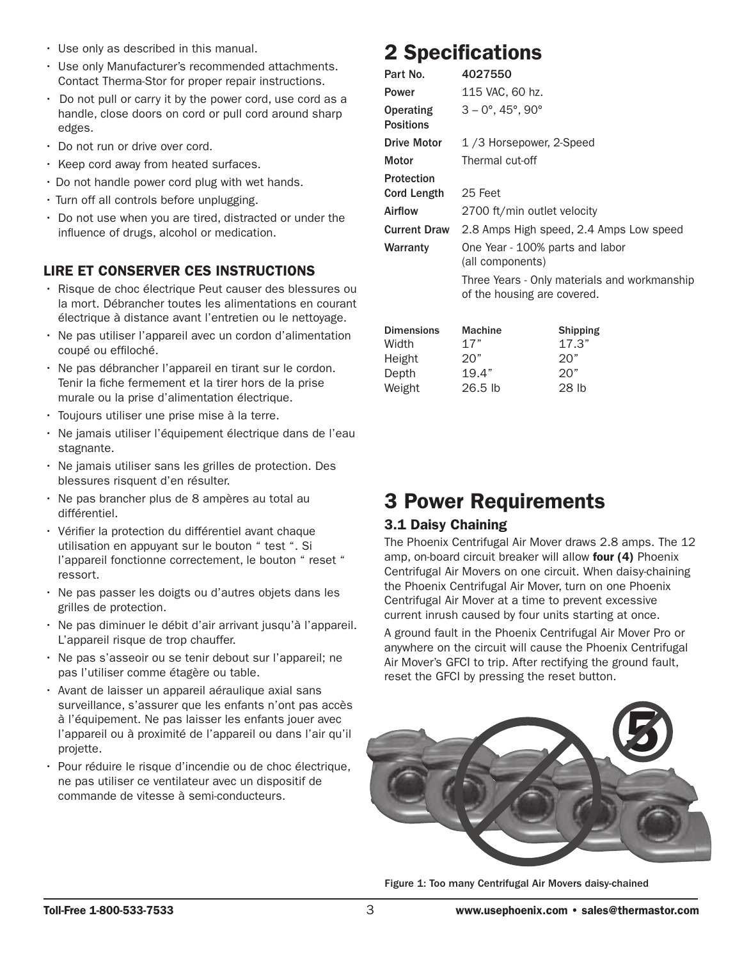- $\cdot$  Use only as described in this manual.
- Use only Manufacturer's recommended attachments. Contact Therma-Stor for proper repair instructions.
- $\cdot$  Do not pull or carry it by the power cord, use cord as a handle, close doors on cord or pull cord around sharp edges.
- Do not run or drive over cord.
- Keep cord away from heated surfaces.
- $\cdot$  Do not handle power cord plug with wet hands.
- Turn off all controls before unplugging.
- Do not use when you are tired, distracted or under the influence of drugs, alcohol or medication.

## LIRE ET CONSERVER CES INSTRUCTIONS

- · Risque de choc électrique Peut causer des blessures ou la mort. Débrancher toutes les alimentations en courant électrique à distance avant l'entretien ou le nettoyage.
- Ne pas utiliser l'appareil avec un cordon d'alimentation coupé ou effiloché.
- · Ne pas débrancher l'appareil en tirant sur le cordon. Tenir la fiche fermement et la tirer hors de la prise murale ou la prise d'alimentation électrique.
- Toujours utiliser une prise mise à la terre.
- Ne jamais utiliser l'équipement électrique dans de l'eau stagnante. stagriante.
- Ne jamais utiliser sans les grilles de protection. Des blessures risquent d'en résulter.
- Ne pas brancher plus de 8 ampères au total au différentiel. erveletion du différentiel avant chaque du différentiel avant chaque du différentiel avant chaque du différentiel avant chaque du différentiel avant chaque du différentiel avant chaque du différentiel avant chaque du diffé
- Vérifier la protection du différentiel avant chaque utilisation en appuyant sur le bouton " test ". Si l'appareil fonctionne correctement, le bouton " reset " ressort. er passer les doigts ou de autres ou de autres ou de la passer les dois les dois les dois les dois les dois le<br>Les dois les dois les dois les dois les dois les dois les dois les dois les dois les dois les dois les dois le
- · Ne pas passer les doigts ou d'autres objets dans les grilles de protection.
- · Ne pas diminuer le débit d'air arrivant jusqu'à l'appareil. L'appareil risque de trop chauffer.
- · Ne pas s'asseoir ou se tenir debout sur l'appareil; ne pas l'utiliser comme étagère ou table.
- · Avant de laisser un appareil aéraulique axial sans surveillance, s'assurer que les enfants n'ont pas accès à l'équipement. Ne pas laisser les enfants jouer avec l'appareil ou à proximité de l'appareil ou dans l'air qu'il projette. explorer le risque de choc électrique de choc électrique de choc électrique, que choc électrique de choc électrique, que choc électrique de choc électrique de choc électrique, que choc électrique de choc électrique, que ch
- Pour réduire le risque d'incendie ou de choc électrique, ne pas utiliser ce ventilateur avec un dispositif de commande de vitesse à semi-conducteurs.

# 2 Specifications 2 Specifications

| Part No.                                      | 4027550                                                                     |                                        |  |
|-----------------------------------------------|-----------------------------------------------------------------------------|----------------------------------------|--|
| Power                                         | 115 VAC, 60 hz.                                                             |                                        |  |
| Operating<br><b>Positions</b>                 | $3 - 0^\circ$ , 45°, 90°                                                    |                                        |  |
| <b>Drive Motor</b>                            | 1/3 Horsepower, 2-Speed                                                     |                                        |  |
| Motor                                         | Thermal cut-off                                                             |                                        |  |
| Protection<br><b>Cord Length</b>              | 25 Feet                                                                     |                                        |  |
| Airflow                                       | 2700 ft/min outlet velocity                                                 |                                        |  |
| <b>Current Draw</b>                           | 2.8 Amps High speed, 2.4 Amps Low speed                                     |                                        |  |
| Warranty                                      | One Year - 100% parts and labor<br>(all components)                         |                                        |  |
|                                               | Three Years - Only materials and workmanship<br>of the housing are covered. |                                        |  |
| <b>Dimensions</b><br>Width<br>Height<br>Depth | <b>Machine</b><br>17"<br>20"<br>19.4"                                       | <b>Shipping</b><br>17.3"<br>20"<br>20" |  |
| Weight                                        | 26.5 lb                                                                     | 28 lb                                  |  |

# 3 Power Requirements 3 Power Requirements

## 3.1 Daisy Chaining 3.1 Daisy Chaining

The Phoenix Centrifugal Air Mover draws 2.8 amps. The 12 amp, on-board circuit breaker will allow **four (4)** Phoenix Centrifugal Air Movers on one circuit. When daisy-chaining the Phoenix Centrifugal Air Mover, turn on one Phoenix Centrifugal Air Mover at a time to prevent excessive Centrifugal Air Mover at a time to prevent excessive current inrush caused by four units starting at once. current inrush caused by four units starting at once.

A ground fault in the Phoenix Centrifugal Air Mover Pro or A ground fault in the Phoenix Centrifugal Air Mover or anywhere on the circuit will cause the Phoenix Centrifugal anywhere on the circuit will cause the Phoenix Centrifugal Air Mover's GFCI to trip. After rectifying the ground fault, reset the GFCI by pressing the reset button. the GFCI by pressing the reset button.



Figure 1: Too many Centrifugal Air Movers daisy-chained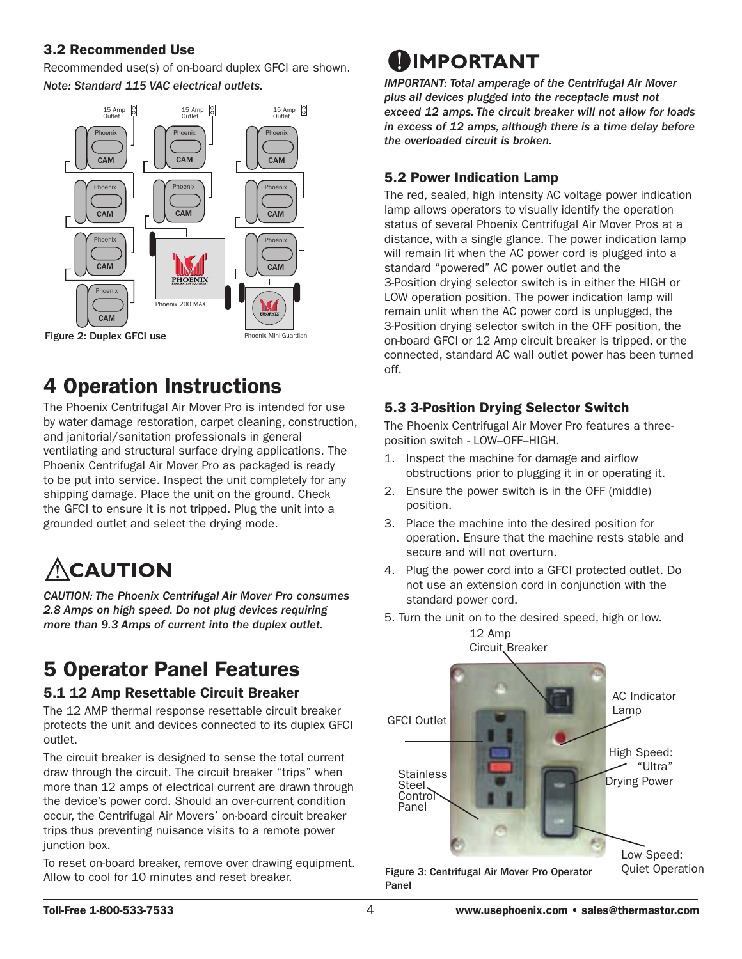## 3.2 Recommended Use 3.2 Recommended Use

Recommended use(s) of on-board duplex GFCI are shown. Recommended use(s) of on-board duplex GFCI are shown. *Note: Standard 115 VAC electrical outlets. Note: Standard 115 VAC electrical outlets.* 



## 4 Operation Instructions 4 Operation Instructions

The Phoenix Centrifugal Air Mover Pro is intended for use by water damage restoration, carpet cleaning, construction, water damage restoration, carpet cleaning, construction, and janitorial/sanitation professionals in general and janitorial/sanitation professionals in general ventilating and structural surface drying applications. The ventilating and structural surface drying applications. The Phoenix Centrifugal Air Mover Pro as packaged is ready to be put into service. Inspect the unit completely for any be put into service. Inspect the unit completely for any shipping damage. Place the unit on the ground. Check shipping damage. Place the unit on the ground. Check the GFCI to ensure it is not tripped. Plug the unit into a the GFCI to ensure it is not tripped. Plug the unit into a grounded outlet and select the drying mode. grounded outlet and select the drying mode.

# *CAUTION: The Phoenix Centrifugal Air Mover consumes 2.7*

**CAUTION: The Phoenix Centrifugal Air Mover Pro consumes** 2.8 Amps on high speed. Do not plug devices requiring *more than 9.3 Amps of current into the duplex outlet.*

#### 5 Operator Panel Features  $\overline{z}$  or  $\overline{z}$  or  $\overline{z}$  and  $\overline{z}$ 5 Operatur Paliei Features

### 5.1 12 Amp Resettable Circuit Breaker

The 12 AMP thermal response resettable circuit breaker protects the unit and devices connected to its duplex GFCI outlet.  $\mathsf{outlet}.$ 

The circuit breaker is designed to sense the total current draw through the circuit. The circuit breaker "trips" when more than 12 amps of electrical current are drawn through the device's power cord. Should an over-current condition occur, the Centrifugal Air Movers' on-board circuit breaker trips thus preventing nuisance visits to a remote power interestion box. The reset of  $\alpha$  remove over drawing equipment.

To reset on-board breaker, remove over drawing equipment. Allow to cool for 10 minutes and reset breaker.

# **DIMPORTANT**

*IMP0RTANT: Total amperage of the Centrifugal Air Mover mm* order *interesting the continuity and mover* plus all devices plugged into the receptacle must not *exceed 12 amps. The circuit breaker will not allow for loads plus all devices plugged into the receptacle must not in excess of 12 amps, although there is a time delay before exceed 12 amps. The circuit breaker will not allow for loads the overloaded circuit is broken. the overloaded circuit is broken. in excess of 12 amps, although there is a time delay before* 

### 5.2 Power Indication Lamp

THE POLITIC INTERNATION TRINGS<br>The red, sealed, high intensity AC voltage power indication lamp allows operators to visually identify the operation status of several Phoenix Centrifugal Air Mover Pros at a distance, with a single glance. The power indication lamp will remain lit when the AC power cord is plugged into a standard "powered" AC power outlet and the 3-Position drying selector switch is in either the HIGH or LOW operation position. The power indication lamp will remain unlit when the AC power cord is unplugged, the 3-Position drying selector switch in the OFF position, the on-board GFCI or 12 Amp circuit breaker is tripped, or the connected, standard AC wall outlet power has been turned off.  $\alpha$ ff

### 5.3 3-Position Drying Selector Switch

**The Phoenix Centrifugal Air Mover Pro features a three-**<br>The Phoenix Centrifugal Air Mover Pro features a threeme choosing continuity in the Phoenix Centrifugal Air Movement Centrifugal Air Movement of the Air Movement of

- premain enter the machine manner.<br>1. Inspect the machine for damage and airflow obstructions prior to plugging it in or operating it.
- $2.$  Ensure the power switch is in the OFF (middle) position.
- 3. Place the machine into the desired position for operation. Ensure that the machine rests stable and secure and will not overturn. operation. Ensure that the machine rests stable and
- and the power cord into a GFCI protected outlet. Do not use an extension cord in conjunction with the standard power cord.
- 5. Turn the unit on to the desired speed, high or low. 12 Amp  $\frac{10.0 \text{mm}}{10.0 \text{mm}}$



Figure 3: Centrifugal Air Mover Pro Operator Panel Figure 3: Centrifugal Air Movement Operator Panel Quiet Operator Panel Quiet Operator Panel Quiet Operation Op

**Quiet Operation**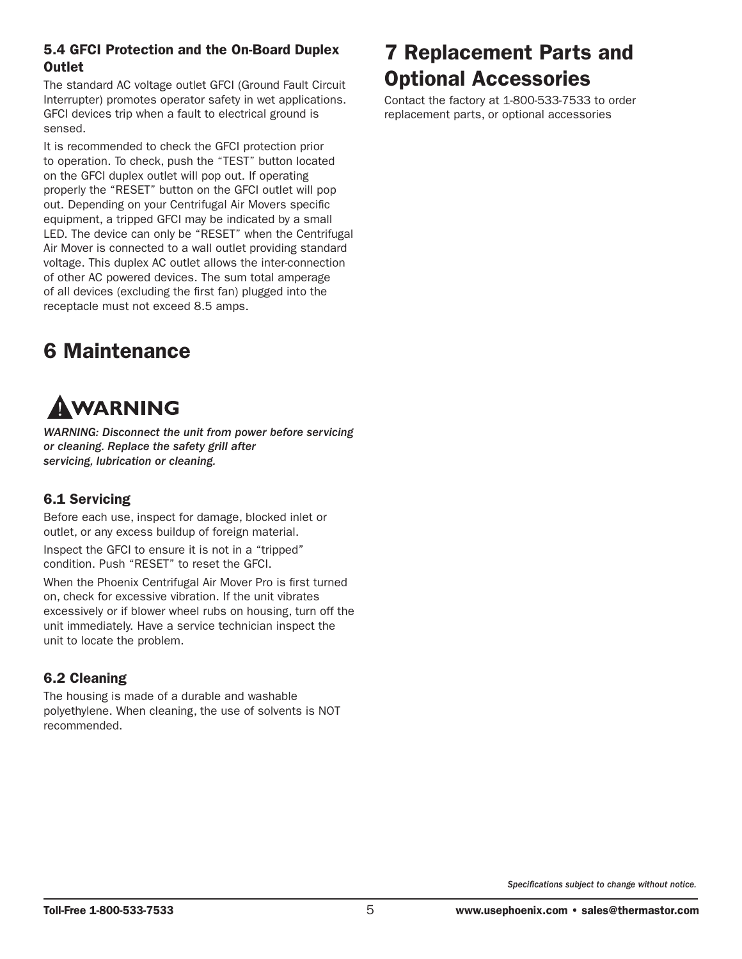### 5.4 GFCI Protection and the On-Board Duplex **Outlet**

The standard AC voltage outlet GFCI (Ground Fault Circuit Interrupter) promotes operator safety in wet applications. GFCI devices trip when a fault to electrical ground is sensed.

It is recommended to check the GFCI protection prior to operation. To check, push the "TEST" button located on the GFCI duplex outlet will pop out. If operating properly the "RESET" button on the GFCI outlet will pop out. Depending on your Centrifugal Air Movers specific equipment, a tripped GFCI may be indicated by a small LED. The device can only be "RESET" when the Centrifugal Air Mover is connected to a wall outlet providing standard voltage. This duplex AC outlet allows the inter-connection of other AC powered devices. The sum total amperage of all devices (excluding the first fan) plugged into the receptacle must not exceed 8.5 amps.

## 6 Maintenance

# AWARNING

*WARNING: Disconnect the unit from power before servicing or cleaning. Replace the safety grill after servicing, lubrication or cleaning.* 

### 6.1 Servicing

Before each use, inspect for damage, blocked inlet or outlet, or any excess buildup of foreign material.

Inspect the GFCI to ensure it is not in a "tripped" condition. Push "RESET" to reset the GFCI.

When the Phoenix Centrifugal Air Mover Pro is first turned on, check for excessive vibration. If the unit vibrates excessively or if blower wheel rubs on housing, turn off the unit immediately. Have a service technician inspect the unit to locate the problem.

### 6.2 Cleaning

The housing is made of a durable and washable polyethylene. When cleaning, the use of solvents is NOT recommended.

## 7 Replacement Parts and Optional Accessories

Contact the factory at 1-800-533-7533 to order replacement parts, or optional accessories